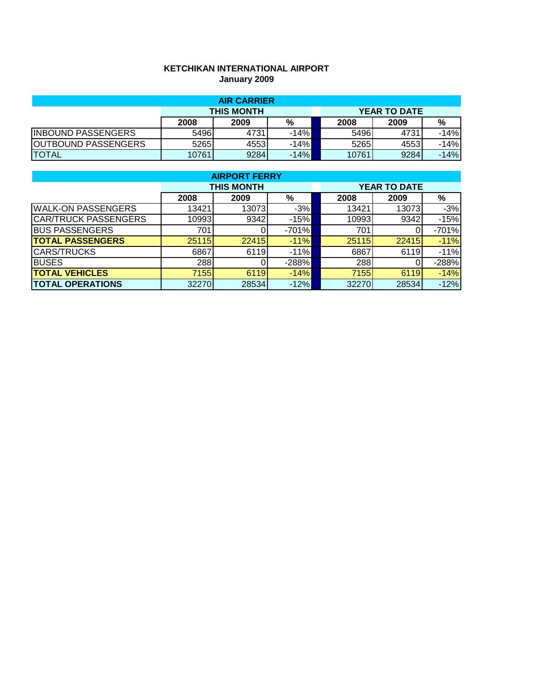## **KETCHIKAN INTERNATIONAL AIRPORT January 2009**

|                            |       | <b>AIR CARRIER</b> |        |  |       |                     |        |
|----------------------------|-------|--------------------|--------|--|-------|---------------------|--------|
|                            |       | <b>THIS MONTH</b>  |        |  |       | <b>YEAR TO DATE</b> |        |
|                            | 2008  | 2009               | %      |  | 2008  | 2009                | %      |
| <b>INBOUND PASSENGERS</b>  | 5496  | 4731               | $-14%$ |  | 5496  | 4731                | $-14%$ |
| <b>OUTBOUND PASSENGERS</b> | 5265  | 45531              | $-14%$ |  | 5265  | 4553                | $-14%$ |
| <b>TOTAL</b>               | 10761 | 9284               | $-14%$ |  | 10761 | 9284                | $-14%$ |

|                             | <b>AIRPORT FERRY</b> |                   |         |  |                     |       |         |  |  |  |  |
|-----------------------------|----------------------|-------------------|---------|--|---------------------|-------|---------|--|--|--|--|
|                             |                      | <b>THIS MONTH</b> |         |  | <b>YEAR TO DATE</b> |       |         |  |  |  |  |
|                             | 2008                 | 2009              | %       |  | 2008                | 2009  | %       |  |  |  |  |
| <b>WALK-ON PASSENGERS</b>   | 13421                | 13073             | $-3%$   |  | 13421               | 13073 | $-3%$   |  |  |  |  |
| <b>CAR/TRUCK PASSENGERS</b> | 10993                | 9342              | $-15%$  |  | 10993               | 9342  | $-15%$  |  |  |  |  |
| <b>BUS PASSENGERS</b>       | 701                  |                   | $-701%$ |  | 701                 |       | $-701%$ |  |  |  |  |
| <b>TOTAL PASSENGERS</b>     | 25115                | 22415             | $-11%$  |  | 25115               | 22415 | $-11%$  |  |  |  |  |
| <b>CARS/TRUCKS</b>          | 6867                 | 6119              | $-11%$  |  | 6867                | 6119  | $-11%$  |  |  |  |  |
| <b>BUSES</b>                | 288                  |                   | $-288%$ |  | 288                 |       | $-288%$ |  |  |  |  |
| <b>TOTAL VEHICLES</b>       | 7155                 | 6119              | $-14%$  |  | 7155                | 6119  | $-14%$  |  |  |  |  |
| <b>TOTAL OPERATIONS</b>     | 32270                | 28534             | $-12%$  |  | 32270               | 28534 | $-12%$  |  |  |  |  |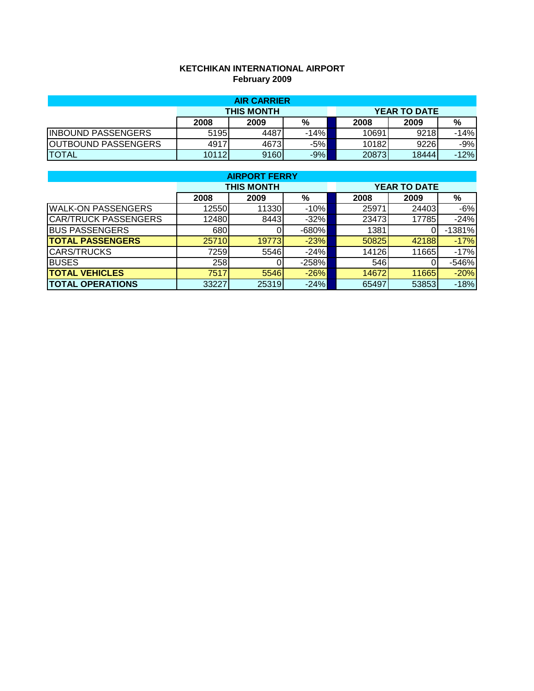## **KETCHIKAN INTERNATIONAL AIRPORT February 2009**

| <b>AIR CARRIER</b>         |       |                   |        |  |       |                     |        |  |  |
|----------------------------|-------|-------------------|--------|--|-------|---------------------|--------|--|--|
|                            |       | <b>THIS MONTH</b> |        |  |       | <b>YEAR TO DATE</b> |        |  |  |
|                            | 2008  | 2009              | %      |  | 2008  | 2009                | %      |  |  |
| <b>INBOUND PASSENGERS</b>  | 5195  | 4487              | $-14%$ |  | 10691 | 9218                | -14%   |  |  |
| <b>OUTBOUND PASSENGERS</b> | 4917  | 4673              | $-5%$  |  | 10182 | 9226                | $-9%$  |  |  |
| <b>TOTAL</b>               | 10112 | 9160              | $-9%$  |  | 20873 | 18444               | $-12%$ |  |  |

|                             | <b>AIRPORT FERRY</b> |                   |         |  |                     |       |          |  |  |  |  |
|-----------------------------|----------------------|-------------------|---------|--|---------------------|-------|----------|--|--|--|--|
|                             |                      | <b>THIS MONTH</b> |         |  | <b>YEAR TO DATE</b> |       |          |  |  |  |  |
|                             | 2008                 | 2009              | %       |  | 2008                | 2009  | %        |  |  |  |  |
| <b>WALK-ON PASSENGERS</b>   | 12550                | 11330             | $-10%$  |  | 25971               | 24403 | $-6%$    |  |  |  |  |
| <b>CAR/TRUCK PASSENGERS</b> | 12480                | 8443              | $-32%$  |  | 23473               | 17785 | $-24%$   |  |  |  |  |
| <b>BUS PASSENGERS</b>       | 680                  |                   | $-680%$ |  | 1381                |       | $-1381%$ |  |  |  |  |
| <b>TOTAL PASSENGERS</b>     | 25710                | 19773             | $-23%$  |  | 50825               | 42188 | $-17%$   |  |  |  |  |
| <b>CARS/TRUCKS</b>          | 7259                 | 5546              | $-24%$  |  | 14126               | 11665 | $-17%$   |  |  |  |  |
| <b>BUSES</b>                | 258                  |                   | $-258%$ |  | 546                 |       | $-546%$  |  |  |  |  |
| <b>TOTAL VEHICLES</b>       | 7517                 | 5546              | $-26%$  |  | 14672               | 11665 | $-20%$   |  |  |  |  |
| <b>TOTAL OPERATIONS</b>     | 33227                | 25319             | $-24%$  |  | 65497               | 53853 | $-18%$   |  |  |  |  |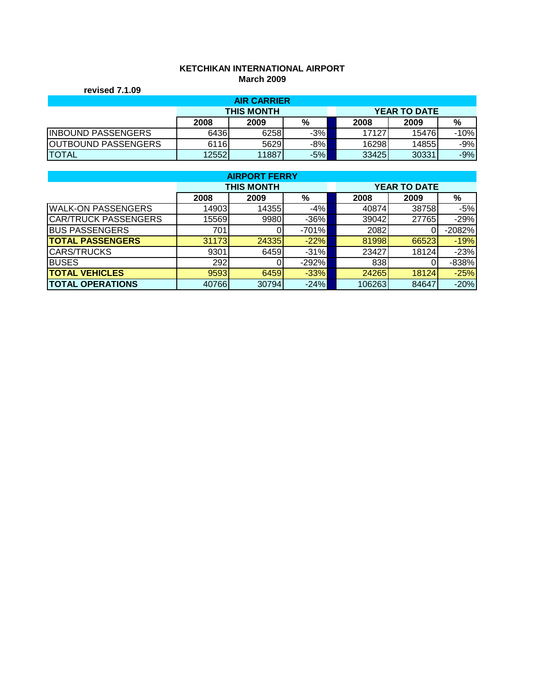# **KETCHIKAN INTERNATIONAL AIRPORT March 2009**

|                            |       | MANTI LUVJ         |       |       |                     |        |
|----------------------------|-------|--------------------|-------|-------|---------------------|--------|
| revised 7.1.09             |       |                    |       |       |                     |        |
|                            |       | <b>AIR CARRIER</b> |       |       |                     |        |
|                            |       | <b>THIS MONTH</b>  |       |       | <b>YEAR TO DATE</b> |        |
|                            | 2008  | 2009               | %     | 2008  | 2009                | %      |
| <b>INBOUND PASSENGERS</b>  | 6436  | 6258               | $-3%$ | 17127 | 15476               | $-10%$ |
| <b>OUTBOUND PASSENGERS</b> | 6116  | 5629               | $-8%$ | 16298 | 14855               | $-9%$  |
| <b>TOTAL</b>               | 12552 | 11887              | -5%I  | 33425 | 30331               | $-9%$  |

|                             | <b>AIRPORT FERRY</b> |                   |         |  |        |                     |          |  |  |  |  |
|-----------------------------|----------------------|-------------------|---------|--|--------|---------------------|----------|--|--|--|--|
|                             |                      | <b>THIS MONTH</b> |         |  |        | <b>YEAR TO DATE</b> |          |  |  |  |  |
|                             | 2008                 | 2009              | %       |  | 2008   | 2009                | %        |  |  |  |  |
| <b>WALK-ON PASSENGERS</b>   | 14903                | 14355             | $-4%$   |  | 40874  | 38758               | $-5%$    |  |  |  |  |
| <b>CAR/TRUCK PASSENGERS</b> | 15569                | 9980              | $-36%$  |  | 39042  | 27765               | $-29%$   |  |  |  |  |
| <b>BUS PASSENGERS</b>       | 701                  |                   | $-701%$ |  | 2082   |                     | $-2082%$ |  |  |  |  |
| <b>TOTAL PASSENGERS</b>     | 31173                | 24335             | $-22%$  |  | 81998  | 66523               | $-19%$   |  |  |  |  |
| <b>CARS/TRUCKS</b>          | 9301                 | 6459              | $-31%$  |  | 23427  | 18124               | $-23%$   |  |  |  |  |
| <b>BUSES</b>                | 292                  |                   | $-292%$ |  | 838    |                     | $-838%$  |  |  |  |  |
| <b>TOTAL VEHICLES</b>       | 9593                 | 6459              | $-33%$  |  | 24265  | 18124               | $-25%$   |  |  |  |  |
| <b>TOTAL OPERATIONS</b>     | 40766                | 30794             | $-24%$  |  | 106263 | 84647               | $-20%$   |  |  |  |  |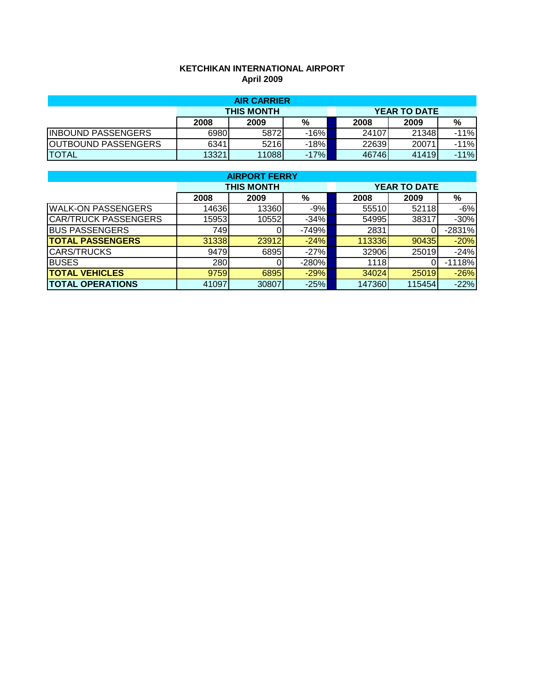## **KETCHIKAN INTERNATIONAL AIRPORT April 2009**

| <b>AIR CARRIER</b>         |       |                   |        |  |       |                     |        |  |  |
|----------------------------|-------|-------------------|--------|--|-------|---------------------|--------|--|--|
|                            |       | <b>THIS MONTH</b> |        |  |       | <b>YEAR TO DATE</b> |        |  |  |
|                            | 2008  | 2009              | %      |  | 2008  | 2009                | %      |  |  |
| <b>INBOUND PASSENGERS</b>  | 6980  | 5872              | $-16%$ |  | 24107 | 21348               | $-11%$ |  |  |
| <b>OUTBOUND PASSENGERS</b> | 6341  | 5216              | $-18%$ |  | 22639 | 20071               | $-11%$ |  |  |
| <b>TOTAL</b>               | 13321 | 11088             | $-17%$ |  | 46746 | 41419               | $-11%$ |  |  |

|                             | <b>AIRPORT FERRY</b> |                   |         |  |        |                     |          |  |  |  |  |
|-----------------------------|----------------------|-------------------|---------|--|--------|---------------------|----------|--|--|--|--|
|                             |                      | <b>THIS MONTH</b> |         |  |        | <b>YEAR TO DATE</b> |          |  |  |  |  |
|                             | 2008                 | 2009              | %       |  | 2008   | 2009                | %        |  |  |  |  |
| <b>WALK-ON PASSENGERS</b>   | 14636                | 13360             | $-9%$   |  | 55510  | 52118               | $-6%$    |  |  |  |  |
| <b>CAR/TRUCK PASSENGERS</b> | 15953                | 10552             | $-34%$  |  | 54995  | 38317               | $-30%$   |  |  |  |  |
| <b>BUS PASSENGERS</b>       | 749                  |                   | $-749%$ |  | 2831   |                     | $-2831%$ |  |  |  |  |
| <b>TOTAL PASSENGERS</b>     | 31338                | 23912             | $-24%$  |  | 113336 | 90435               | $-20%$   |  |  |  |  |
| <b>CARS/TRUCKS</b>          | 9479                 | 6895              | $-27%$  |  | 32906  | 25019               | $-24%$   |  |  |  |  |
| <b>BUSES</b>                | 280                  |                   | $-280%$ |  | 1118   |                     | $-1118%$ |  |  |  |  |
| <b>TOTAL VEHICLES</b>       | 9759                 | 6895              | $-29%$  |  | 34024  | 25019               | $-26%$   |  |  |  |  |
| <b>TOTAL OPERATIONS</b>     | 41097                | 30807             | $-25%$  |  | 147360 | 115454              | $-22%$   |  |  |  |  |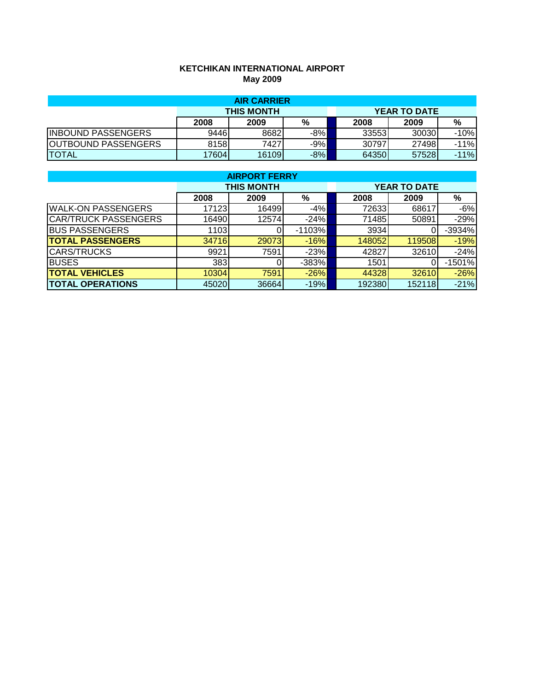## **KETCHIKAN INTERNATIONAL AIRPORT May 2009**

| <b>AIR CARRIER</b>         |       |                   |       |  |        |                     |        |  |  |
|----------------------------|-------|-------------------|-------|--|--------|---------------------|--------|--|--|
|                            |       | <b>THIS MONTH</b> |       |  |        | <b>YEAR TO DATE</b> |        |  |  |
|                            | 2008  | 2009              | %     |  | 2008   | 2009                | %      |  |  |
| <b>INBOUND PASSENGERS</b>  | 9446  | 8682              | $-8%$ |  | 335531 | 30030               | $-10%$ |  |  |
| <b>OUTBOUND PASSENGERS</b> | 8158  | 74271             | $-9%$ |  | 30797  | 27498               | $-11%$ |  |  |
| <b>TOTAL</b>               | 17604 | 16109             | $-8%$ |  | 64350  | 57528               | $-11%$ |  |  |

|                             | <b>AIRPORT FERRY</b> |                   |          |  |                     |        |          |  |  |  |  |
|-----------------------------|----------------------|-------------------|----------|--|---------------------|--------|----------|--|--|--|--|
|                             |                      | <b>THIS MONTH</b> |          |  | <b>YEAR TO DATE</b> |        |          |  |  |  |  |
|                             | 2008                 | 2009              | %        |  | 2008                | 2009   | %        |  |  |  |  |
| <b>WALK-ON PASSENGERS</b>   | 17123                | 16499             | $-4%$    |  | 72633               | 68617  | $-6%$    |  |  |  |  |
| <b>CAR/TRUCK PASSENGERS</b> | 16490                | 12574             | $-24%$   |  | 71485               | 50891  | $-29%$   |  |  |  |  |
| <b>BUS PASSENGERS</b>       | 1103                 |                   | $-1103%$ |  | 3934                |        | -3934%   |  |  |  |  |
| <b>TOTAL PASSENGERS</b>     | 34716                | 29073             | $-16%$   |  | 148052              | 119508 | $-19%$   |  |  |  |  |
| <b>CARS/TRUCKS</b>          | 9921                 | 7591              | $-23%$   |  | 42827               | 32610  | $-24%$   |  |  |  |  |
| <b>BUSES</b>                | 383                  |                   | $-383%$  |  | 1501                |        | $-1501%$ |  |  |  |  |
| <b>TOTAL VEHICLES</b>       | 10304                | 7591              | $-26%$   |  | 44328               | 32610  | $-26%$   |  |  |  |  |
| <b>TOTAL OPERATIONS</b>     | 45020                | 36664             | $-19%$   |  | 192380              | 152118 | $-21%$   |  |  |  |  |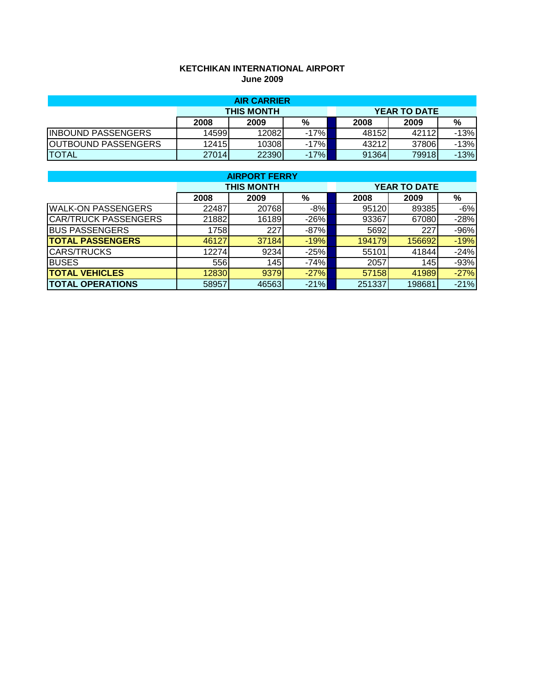## **KETCHIKAN INTERNATIONAL AIRPORT June 2009**

| <b>AIR CARRIER</b>         |        |                   |        |  |       |                     |        |  |  |
|----------------------------|--------|-------------------|--------|--|-------|---------------------|--------|--|--|
|                            |        | <b>THIS MONTH</b> |        |  |       | <b>YEAR TO DATE</b> |        |  |  |
|                            | 2008   | 2009              | %      |  | 2008  | 2009                | %      |  |  |
| <b>INBOUND PASSENGERS</b>  | 145991 | 12082             | -17%I  |  | 48152 | 42112               | $-13%$ |  |  |
| <b>OUTBOUND PASSENGERS</b> | 12415  | 10308             | $-17%$ |  | 43212 | 37806               | $-13%$ |  |  |
| <b>TOTAL</b>               | 27014  | 22390             | $-17%$ |  | 91364 | 79918               | $-13%$ |  |  |

|                             | <b>AIRPORT FERRY</b> |                   |        |        |                     |        |  |  |  |  |  |
|-----------------------------|----------------------|-------------------|--------|--------|---------------------|--------|--|--|--|--|--|
|                             |                      | <b>THIS MONTH</b> |        |        | <b>YEAR TO DATE</b> |        |  |  |  |  |  |
|                             | 2008                 | 2009              | %      | 2008   | 2009                | %      |  |  |  |  |  |
| <b>WALK-ON PASSENGERS</b>   | 22487                | 20768             | $-8%$  | 95120  | 89385               | $-6%$  |  |  |  |  |  |
| <b>CAR/TRUCK PASSENGERS</b> | 21882                | 16189             | $-26%$ | 93367  | 67080               | $-28%$ |  |  |  |  |  |
| <b>BUS PASSENGERS</b>       | 1758                 | 227               | $-87%$ | 5692   | 227                 | $-96%$ |  |  |  |  |  |
| <b>TOTAL PASSENGERS</b>     | 46127                | 37184             | $-19%$ | 194179 | 156692              | $-19%$ |  |  |  |  |  |
| <b>CARS/TRUCKS</b>          | 12274                | 9234              | $-25%$ | 55101  | 41844               | $-24%$ |  |  |  |  |  |
| <b>BUSES</b>                | 556                  | 145               | $-74%$ | 2057   | 145                 | $-93%$ |  |  |  |  |  |
| <b>TOTAL VEHICLES</b>       | 12830                | 9379              | $-27%$ | 57158  | 41989               | $-27%$ |  |  |  |  |  |
| <b>TOTAL OPERATIONS</b>     | 58957                | 46563             | $-21%$ | 251337 | 198681              | $-21%$ |  |  |  |  |  |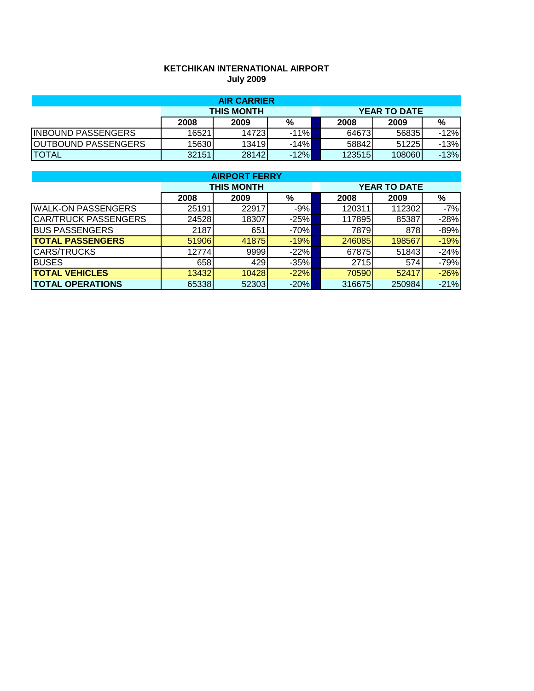# **KETCHIKAN INTERNATIONAL AIRPORT July 2009**

| <b>AIR CARRIER</b>         |                   |        |         |  |        |                     |        |  |
|----------------------------|-------------------|--------|---------|--|--------|---------------------|--------|--|
|                            | <b>THIS MONTH</b> |        |         |  |        | <b>YEAR TO DATE</b> |        |  |
|                            | 2008              | 2009   | %       |  | 2008   | 2009                | %      |  |
| <b>INBOUND PASSENGERS</b>  | 16521             | 147231 | $-11\%$ |  | 64673  | 56835               | $-12%$ |  |
| <b>OUTBOUND PASSENGERS</b> | 15630             | 13419  | $-14%$  |  | 58842  | 51225               | $-13%$ |  |
| <b>TOTAL</b>               | 32151             | 28142  | $-12%$  |  | 123515 | 108060              | $-13%$ |  |

| <b>AIRPORT FERRY</b>        |                   |       |        |                     |        |        |  |  |  |
|-----------------------------|-------------------|-------|--------|---------------------|--------|--------|--|--|--|
|                             | <b>THIS MONTH</b> |       |        | <b>YEAR TO DATE</b> |        |        |  |  |  |
|                             | 2008              | 2009  | %      | 2008                | 2009   | $\%$   |  |  |  |
| <b>WALK-ON PASSENGERS</b>   | 25191             | 22917 | $-9%$  | 120311              | 112302 | $-7%$  |  |  |  |
| <b>CAR/TRUCK PASSENGERS</b> | 24528             | 18307 | $-25%$ | 117895              | 85387  | $-28%$ |  |  |  |
| <b>BUS PASSENGERS</b>       | 2187              | 651   | $-70%$ | 7879                | 878    | $-89%$ |  |  |  |
| <b>TOTAL PASSENGERS</b>     | 51906             | 41875 | $-19%$ | 246085              | 198567 | $-19%$ |  |  |  |
| <b>CARS/TRUCKS</b>          | 12774             | 9999  | $-22%$ | 678751              | 51843  | $-24%$ |  |  |  |
| <b>BUSES</b>                | 658               | 429   | $-35%$ | 2715                | 574    | $-79%$ |  |  |  |
| <b>TOTAL VEHICLES</b>       | 13432             | 10428 | $-22%$ | 70590               | 52417  | $-26%$ |  |  |  |
| <b>TOTAL OPERATIONS</b>     | 65338             | 52303 | $-20%$ | 316675              | 250984 | $-21%$ |  |  |  |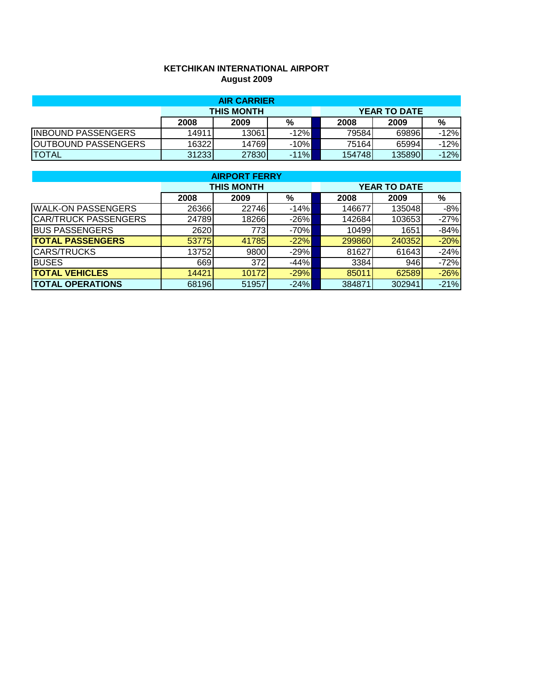## **KETCHIKAN INTERNATIONAL AIRPORT August 2009**

| <b>AIR CARRIER</b>         |                   |       |        |  |        |                     |        |  |
|----------------------------|-------------------|-------|--------|--|--------|---------------------|--------|--|
|                            | <b>THIS MONTH</b> |       |        |  |        | <b>YEAR TO DATE</b> |        |  |
|                            | 2008              | 2009  | %      |  | 2008   | 2009                | %      |  |
| <b>INBOUND PASSENGERS</b>  | 14911             | 13061 | $-12%$ |  | 79584  | 69896               | $-12%$ |  |
| <b>OUTBOUND PASSENGERS</b> | 163221            | 14769 | $-10%$ |  | 75164  | 65994               | $-12%$ |  |
| <b>TOTAL</b>               | 31233             | 27830 | $-11%$ |  | 154748 | 135890              | $-12%$ |  |

| <b>AIRPORT FERRY</b>        |                   |       |        |                     |        |        |  |  |  |
|-----------------------------|-------------------|-------|--------|---------------------|--------|--------|--|--|--|
|                             | <b>THIS MONTH</b> |       |        | <b>YEAR TO DATE</b> |        |        |  |  |  |
|                             | 2008              | 2009  | %      | 2008                | 2009   | %      |  |  |  |
| <b>WALK-ON PASSENGERS</b>   | 26366             | 22746 | $-14%$ | 146677              | 135048 | $-8%$  |  |  |  |
| <b>CAR/TRUCK PASSENGERS</b> | 24789             | 18266 | $-26%$ | 142684              | 103653 | $-27%$ |  |  |  |
| <b>BUS PASSENGERS</b>       | 2620              | 773   | $-70%$ | 10499               | 1651   | $-84%$ |  |  |  |
| <b>TOTAL PASSENGERS</b>     | 53775             | 41785 | $-22%$ | 299860              | 240352 | $-20%$ |  |  |  |
| <b>CARS/TRUCKS</b>          | 13752             | 9800  | $-29%$ | 81627               | 61643  | $-24%$ |  |  |  |
| <b>BUSES</b>                | 669               | 372   | $-44%$ | 3384                | 946    | $-72%$ |  |  |  |
| <b>TOTAL VEHICLES</b>       | 14421             | 10172 | $-29%$ | 85011               | 62589  | $-26%$ |  |  |  |
| <b>TOTAL OPERATIONS</b>     | 68196             | 51957 | $-24%$ | 384871              | 302941 | $-21%$ |  |  |  |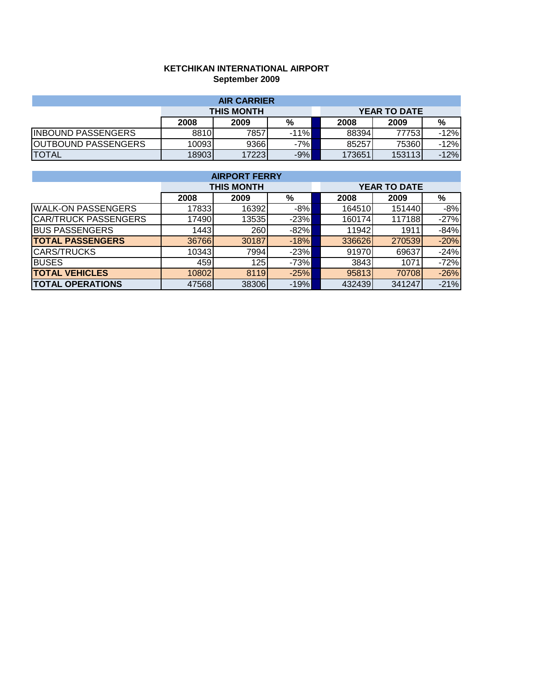## **KETCHIKAN INTERNATIONAL AIRPORT September 2009**

| <b>AIR CARRIER</b>        |                   |       |        |  |        |                     |        |  |  |
|---------------------------|-------------------|-------|--------|--|--------|---------------------|--------|--|--|
|                           | <b>THIS MONTH</b> |       |        |  |        | <b>YEAR TO DATE</b> |        |  |  |
|                           | 2008              | 2009  | %      |  | 2008   | 2009                | %      |  |  |
| <b>INBOUND PASSENGERS</b> | 8810              | 7857  | $-11%$ |  | 88394  | 77753               | $-12%$ |  |  |
| OUTBOUND PASSENGERS       | 100931            | 9366  | $-7%$  |  | 85257  | 75360               | $-12%$ |  |  |
| <b>TOTAL</b>              | 189031            | 17223 | $-9%$  |  | 173651 | 153113              | $-12%$ |  |  |

| <b>AIRPORT FERRY</b>        |                   |       |        |                     |        |        |  |  |  |
|-----------------------------|-------------------|-------|--------|---------------------|--------|--------|--|--|--|
|                             | <b>THIS MONTH</b> |       |        | <b>YEAR TO DATE</b> |        |        |  |  |  |
|                             | 2008              | 2009  | %      | 2008                | 2009   | %      |  |  |  |
| <b>WALK-ON PASSENGERS</b>   | 17833             | 16392 | $-8%$  | 164510              | 151440 | $-8%$  |  |  |  |
| <b>CAR/TRUCK PASSENGERS</b> | 17490             | 13535 | $-23%$ | 160174              | 117188 | $-27%$ |  |  |  |
| <b>BUS PASSENGERS</b>       | 1443              | 260   | $-82%$ | 11942               | 1911   | $-84%$ |  |  |  |
| <b>TOTAL PASSENGERS</b>     | 36766             | 30187 | $-18%$ | 336626              | 270539 | $-20%$ |  |  |  |
| <b>CARS/TRUCKS</b>          | 10343             | 7994  | $-23%$ | 91970               | 69637  | $-24%$ |  |  |  |
| <b>BUSES</b>                | 459               | 125   | $-73%$ | 3843                | 1071   | $-72%$ |  |  |  |
| <b>TOTAL VEHICLES</b>       | 10802             | 8119  | $-25%$ | 95813               | 70708  | $-26%$ |  |  |  |
| <b>TOTAL OPERATIONS</b>     | 47568             | 38306 | $-19%$ | 432439              | 341247 | $-21%$ |  |  |  |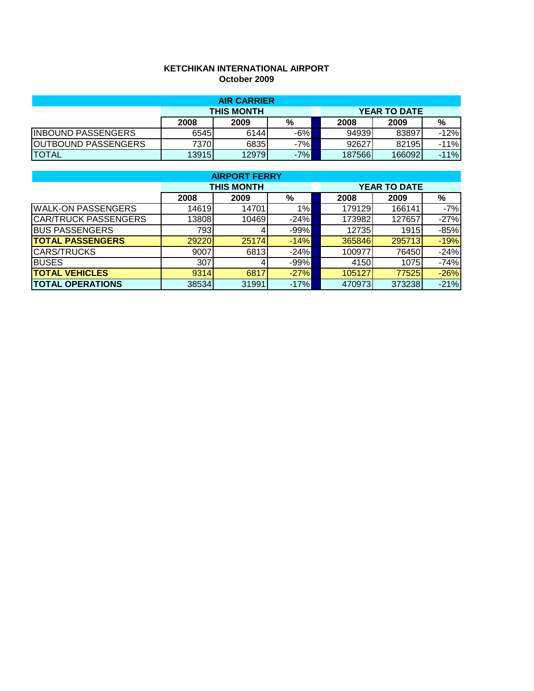## **KETCHIKAN INTERNATIONAL AIRPORT October 2009**

| <b>AIR CARRIER</b>         |                   |       |       |  |        |                     |        |  |
|----------------------------|-------------------|-------|-------|--|--------|---------------------|--------|--|
|                            | <b>THIS MONTH</b> |       |       |  |        | <b>YEAR TO DATE</b> |        |  |
|                            | 2008              | 2009  | %     |  | 2008   | 2009                | %      |  |
| <b>INBOUND PASSENGERS</b>  | 6545              | 6144  | $-6%$ |  | 94939  | 83897               | $-12%$ |  |
| <b>OUTBOUND PASSENGERS</b> | 7370              | 6835  | $-7%$ |  | 92627  | 82195               | $-11%$ |  |
| <b>TOTAL</b>               | 13915             | 12979 | $-7%$ |  | 187566 | 166092              | $-11%$ |  |

| <b>AIRPORT FERRY</b>        |                   |       |        |                     |        |        |  |  |  |
|-----------------------------|-------------------|-------|--------|---------------------|--------|--------|--|--|--|
|                             | <b>THIS MONTH</b> |       |        | <b>YEAR TO DATE</b> |        |        |  |  |  |
|                             | 2008              | 2009  | %      | 2008                | 2009   | %      |  |  |  |
| <b>WALK-ON PASSENGERS</b>   | 14619             | 14701 | 1%     | 179129              | 166141 | $-7%$  |  |  |  |
| <b>CAR/TRUCK PASSENGERS</b> | 13808             | 10469 | $-24%$ | 173982              | 127657 | $-27%$ |  |  |  |
| <b>BUS PASSENGERS</b>       | 793               | 4     | $-99%$ | 12735               | 1915   | $-85%$ |  |  |  |
| <b>TOTAL PASSENGERS</b>     | 29220             | 25174 | $-14%$ | 365846              | 295713 | $-19%$ |  |  |  |
| <b>CARS/TRUCKS</b>          | 9007              | 6813  | $-24%$ | 100977              | 76450  | $-24%$ |  |  |  |
| <b>BUSES</b>                | 307               | 4     | $-99%$ | 4150                | 1075   | $-74%$ |  |  |  |
| <b>TOTAL VEHICLES</b>       | 9314              | 6817  | $-27%$ | 105127              | 77525  | $-26%$ |  |  |  |
| <b>TOTAL OPERATIONS</b>     | 38534             | 31991 | $-17%$ | 470973              | 373238 | $-21%$ |  |  |  |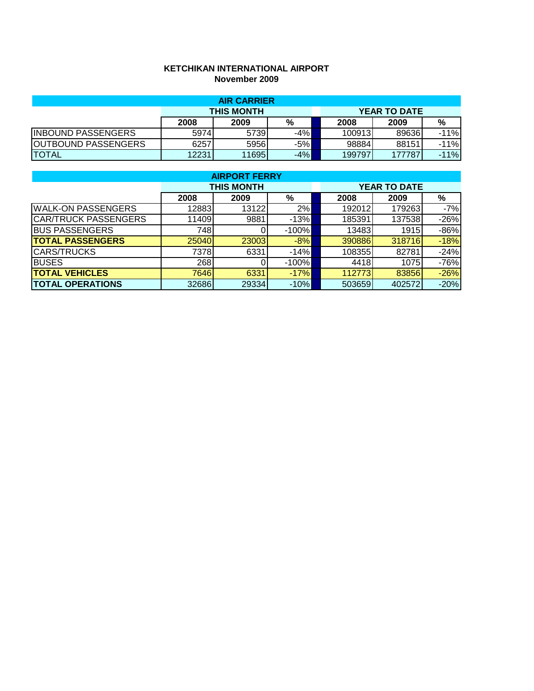## **KETCHIKAN INTERNATIONAL AIRPORT November 2009**

| <b>AIR CARRIER</b>         |                   |       |       |  |        |                     |        |  |
|----------------------------|-------------------|-------|-------|--|--------|---------------------|--------|--|
|                            | <b>THIS MONTH</b> |       |       |  |        | <b>YEAR TO DATE</b> |        |  |
|                            | 2008              | 2009  | %     |  | 2008   | 2009                | %      |  |
| <b>INBOUND PASSENGERS</b>  | 5974              | 5739  | $-4%$ |  | 100913 | 89636               | $-11%$ |  |
| <b>OUTBOUND PASSENGERS</b> | 6257              | 59561 | $-5%$ |  | 98884  | 88151               | $-11%$ |  |
| <b>TOTAL</b>               | 12231             | 11695 | $-4%$ |  | 199797 | 177787              | $-11%$ |  |

| <b>AIRPORT FERRY</b>        |                   |       |         |                     |        |        |  |  |  |
|-----------------------------|-------------------|-------|---------|---------------------|--------|--------|--|--|--|
|                             | <b>THIS MONTH</b> |       |         | <b>YEAR TO DATE</b> |        |        |  |  |  |
|                             | 2008              | 2009  | %       | 2008                | 2009   | %      |  |  |  |
| <b>WALK-ON PASSENGERS</b>   | 12883             | 13122 | 2%      | 192012              | 179263 | $-7%$  |  |  |  |
| <b>CAR/TRUCK PASSENGERS</b> | 11409             | 9881  | $-13%$  | 185391              | 137538 | $-26%$ |  |  |  |
| <b>BUS PASSENGERS</b>       | 748               |       | $-100%$ | 13483               | 1915   | $-86%$ |  |  |  |
| <b>TOTAL PASSENGERS</b>     | 25040             | 23003 | $-8%$   | 390886              | 318716 | $-18%$ |  |  |  |
| <b>CARS/TRUCKS</b>          | 7378              | 6331  | $-14%$  | 108355              | 82781  | $-24%$ |  |  |  |
| <b>BUSES</b>                | 268               |       | $-100%$ | 4418                | 1075   | $-76%$ |  |  |  |
| <b>TOTAL VEHICLES</b>       | 7646              | 6331  | $-17%$  | 112773              | 83856  | $-26%$ |  |  |  |
| <b>TOTAL OPERATIONS</b>     | 32686             | 29334 | $-10%$  | 503659              | 402572 | $-20%$ |  |  |  |